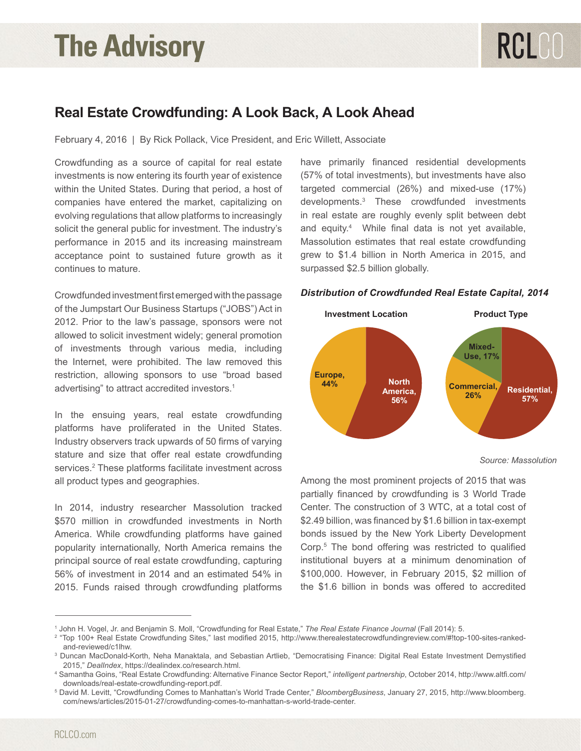## **The Advisory**

## **Real Estate Crowdfunding: A Look Back, A Look Ahead**

February 4, 2016 | By Rick Pollack, Vice President, and Eric Willett, Associate

Crowdfunding as a source of capital for real estate investments is now entering its fourth year of existence within the United States. During that period, a host of companies have entered the market, capitalizing on evolving regulations that allow platforms to increasingly solicit the general public for investment. The industry's performance in 2015 and its increasing mainstream acceptance point to sustained future growth as it continues to mature.

Crowdfunded investment first emerged with the passage of the Jumpstart Our Business Startups ("JOBS") Act in **Investment Location** 2012. Prior to the law's passage, sponsors were not allowed to solicit investment widely; general promotion of investments through various media, including the Internet, were prohibited. The law removed this restriction, allowing sponsors to use "broad based advertising" to attract accredited investors.<sup>1</sup>

In the ensuing years, real estate crowdfunding platforms have proliferated in the United States. Industry observers track upwards of 50 firms of varying stature and size that offer real estate crowdfunding services.<sup>2</sup> These platforms facilitate investment across all product types and geographies.

In 2014, industry researcher Massolution tracked \$570 million in crowdfunded investments in North America. While crowdfunding platforms have gained popularity internationally, North America remains the principal source of real estate crowdfunding, capturing 56% of investment in 2014 and an estimated 54% in 2015. Funds raised through crowdfunding platforms have primarily financed residential developments (57% of total investments), but investments have also targeted commercial (26%) and mixed-use (17%) developments.3 These crowdfunded investments in real estate are roughly evenly split between debt and equity.4 While final data is not yet available, Massolution estimates that real estate crowdfunding grew to \$1.4 billion in North America in 2015, and surpassed \$2.5 billion globally.



## *Distribution of Crowdfunded Real Estate Capital, 2014*

*Source: Massolution*

Among the most prominent projects of 2015 that was partially financed by crowdfunding is 3 World Trade Center. The construction of 3 WTC, at a total cost of \$2.49 billion, was financed by \$1.6 billion in tax-exempt bonds issued by the New York Liberty Development Corp.5 The bond offering was restricted to qualified institutional buyers at a minimum denomination of \$100,000. However, in February 2015, \$2 million of the \$1.6 billion in bonds was offered to accredited

<sup>1</sup> John H. Vogel, Jr. and Benjamin S. Moll, "Crowdfunding for Real Estate," *The Real Estate Finance Journal* (Fall 2014): 5.

<sup>2</sup> "Top 100+ Real Estate Crowdfunding Sites," last modified 2015, http://www.therealestatecrowdfundingreview.com/#!top-100-sites-rankedand-reviewed/c1lhw.

<sup>3</sup> Duncan MacDonald-Korth, Neha Manaktala, and Sebastian Artlieb, "Democratising Finance: Digital Real Estate Investment Demystified 2015," *DealIndex*, https://dealindex.co/research.html.

<sup>4</sup> Samantha Goins, "Real Estate Crowdfunding: Alternative Finance Sector Report," *intelligent partnership*, October 2014, http://www.altfi.com/ downloads/real-estate-crowdfunding-report.pdf.

<sup>5</sup> David M. Levitt, "Crowdfunding Comes to Manhattan's World Trade Center," *BloombergBusiness*, January 27, 2015, http://www.bloomberg. com/news/articles/2015-01-27/crowdfunding-comes-to-manhattan-s-world-trade-center.